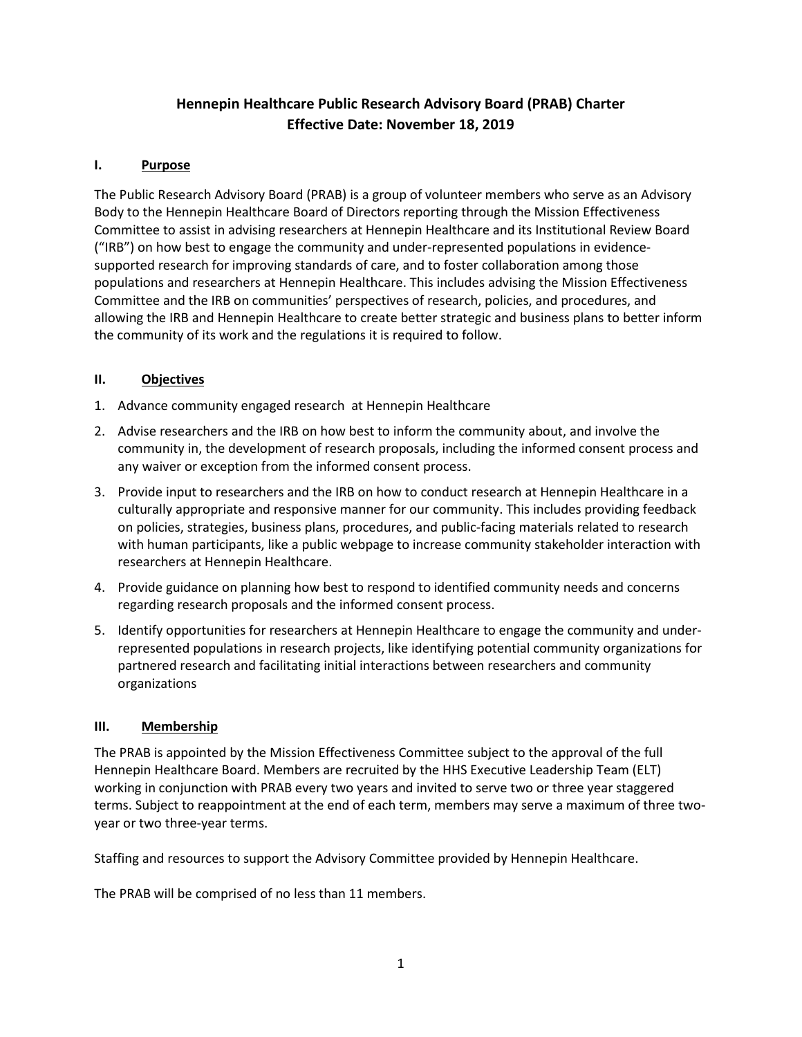# **Hennepin Healthcare Public Research Advisory Board (PRAB) Charter Effective Date: November 18, 2019**

## **I. Purpose**

The Public Research Advisory Board (PRAB) is a group of volunteer members who serve as an Advisory Body to the Hennepin Healthcare Board of Directors reporting through the Mission Effectiveness Committee to assist in advising researchers at Hennepin Healthcare and its Institutional Review Board ("IRB") on how best to engage the community and under-represented populations in evidencesupported research for improving standards of care, and to foster collaboration among those populations and researchers at Hennepin Healthcare. This includes advising the Mission Effectiveness Committee and the IRB on communities' perspectives of research, policies, and procedures, and allowing the IRB and Hennepin Healthcare to create better strategic and business plans to better inform the community of its work and the regulations it is required to follow.

## **II. Objectives**

- 1. Advance community engaged research at Hennepin Healthcare
- 2. Advise researchers and the IRB on how best to inform the community about, and involve the community in, the development of research proposals, including the informed consent process and any waiver or exception from the informed consent process.
- 3. Provide input to researchers and the IRB on how to conduct research at Hennepin Healthcare in a culturally appropriate and responsive manner for our community. This includes providing feedback on policies, strategies, business plans, procedures, and public-facing materials related to research with human participants, like a public webpage to increase community stakeholder interaction with researchers at Hennepin Healthcare.
- 4. Provide guidance on planning how best to respond to identified community needs and concerns regarding research proposals and the informed consent process.
- 5. Identify opportunities for researchers at Hennepin Healthcare to engage the community and underrepresented populations in research projects, like identifying potential community organizations for partnered research and facilitating initial interactions between researchers and community organizations

#### **III. Membership**

The PRAB is appointed by the Mission Effectiveness Committee subject to the approval of the full Hennepin Healthcare Board. Members are recruited by the HHS Executive Leadership Team (ELT) working in conjunction with PRAB every two years and invited to serve two or three year staggered terms. Subject to reappointment at the end of each term, members may serve a maximum of three twoyear or two three-year terms.

Staffing and resources to support the Advisory Committee provided by Hennepin Healthcare.

The PRAB will be comprised of no less than 11 members.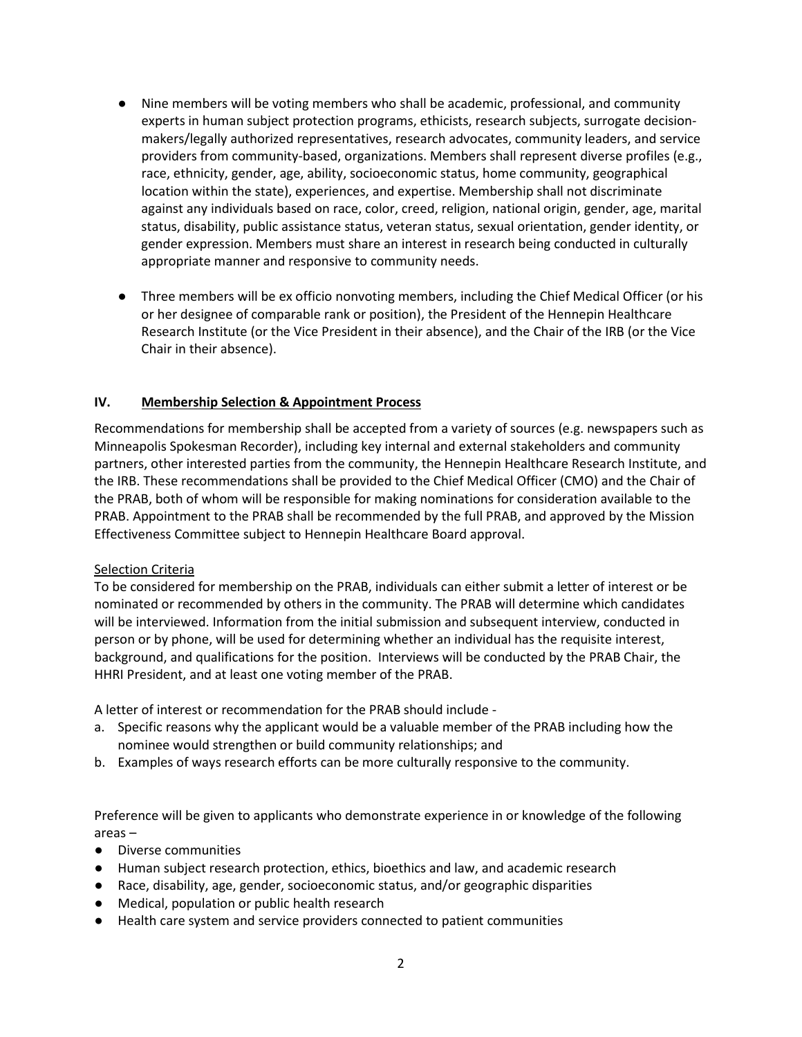- Nine members will be voting members who shall be academic, professional, and community experts in human subject protection programs, ethicists, research subjects, surrogate decisionmakers/legally authorized representatives, research advocates, community leaders, and service providers from community-based, organizations. Members shall represent diverse profiles (e.g., race, ethnicity, gender, age, ability, socioeconomic status, home community, geographical location within the state), experiences, and expertise. Membership shall not discriminate against any individuals based on race, color, creed, religion, national origin, gender, age, marital status, disability, public assistance status, veteran status, sexual orientation, gender identity, or gender expression. Members must share an interest in research being conducted in culturally appropriate manner and responsive to community needs.
- Three members will be ex officio nonvoting members, including the Chief Medical Officer (or his or her designee of comparable rank or position), the President of the Hennepin Healthcare Research Institute (or the Vice President in their absence), and the Chair of the IRB (or the Vice Chair in their absence).

#### **IV. Membership Selection & Appointment Process**

Recommendations for membership shall be accepted from a variety of sources (e.g. newspapers such as Minneapolis Spokesman Recorder), including key internal and external stakeholders and community partners, other interested parties from the community, the Hennepin Healthcare Research Institute, and the IRB. These recommendations shall be provided to the Chief Medical Officer (CMO) and the Chair of the PRAB, both of whom will be responsible for making nominations for consideration available to the PRAB. Appointment to the PRAB shall be recommended by the full PRAB, and approved by the Mission Effectiveness Committee subject to Hennepin Healthcare Board approval.

#### Selection Criteria

To be considered for membership on the PRAB, individuals can either submit a letter of interest or be nominated or recommended by others in the community. The PRAB will determine which candidates will be interviewed. Information from the initial submission and subsequent interview, conducted in person or by phone, will be used for determining whether an individual has the requisite interest, background, and qualifications for the position. Interviews will be conducted by the PRAB Chair, the HHRI President, and at least one voting member of the PRAB.

A letter of interest or recommendation for the PRAB should include -

- a. Specific reasons why the applicant would be a valuable member of the PRAB including how the nominee would strengthen or build community relationships; and
- b. Examples of ways research efforts can be more culturally responsive to the community.

Preference will be given to applicants who demonstrate experience in or knowledge of the following areas –

- Diverse communities
- Human subject research protection, ethics, bioethics and law, and academic research
- Race, disability, age, gender, socioeconomic status, and/or geographic disparities
- Medical, population or public health research
- Health care system and service providers connected to patient communities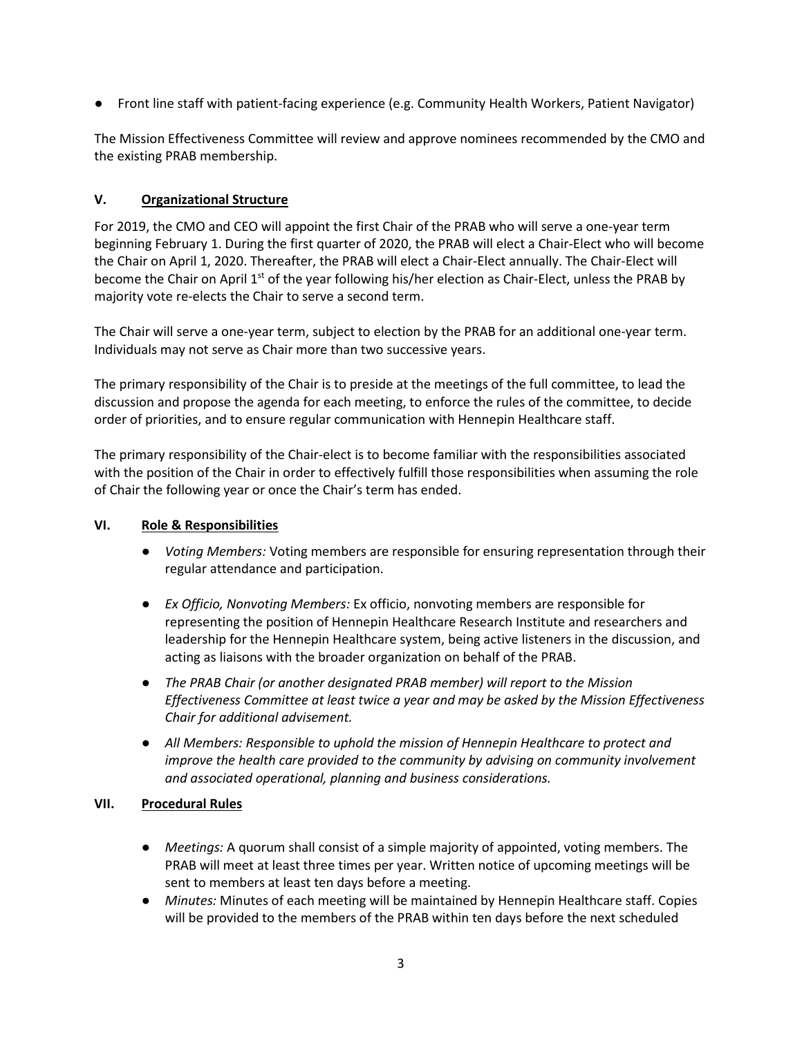● Front line staff with patient-facing experience (e.g. Community Health Workers, Patient Navigator)

The Mission Effectiveness Committee will review and approve nominees recommended by the CMO and the existing PRAB membership.

# **V. Organizational Structure**

For 2019, the CMO and CEO will appoint the first Chair of the PRAB who will serve a one-year term beginning February 1. During the first quarter of 2020, the PRAB will elect a Chair-Elect who will become the Chair on April 1, 2020. Thereafter, the PRAB will elect a Chair-Elect annually. The Chair-Elect will become the Chair on April 1<sup>st</sup> of the year following his/her election as Chair-Elect, unless the PRAB by majority vote re-elects the Chair to serve a second term.

The Chair will serve a one-year term, subject to election by the PRAB for an additional one-year term. Individuals may not serve as Chair more than two successive years.

The primary responsibility of the Chair is to preside at the meetings of the full committee, to lead the discussion and propose the agenda for each meeting, to enforce the rules of the committee, to decide order of priorities, and to ensure regular communication with Hennepin Healthcare staff.

The primary responsibility of the Chair-elect is to become familiar with the responsibilities associated with the position of the Chair in order to effectively fulfill those responsibilities when assuming the role of Chair the following year or once the Chair's term has ended.

## **VI. Role & Responsibilities**

- *Voting Members:* Voting members are responsible for ensuring representation through their regular attendance and participation.
- *Ex Officio, Nonvoting Members:* Ex officio, nonvoting members are responsible for representing the position of Hennepin Healthcare Research Institute and researchers and leadership for the Hennepin Healthcare system, being active listeners in the discussion, and acting as liaisons with the broader organization on behalf of the PRAB.
- *The PRAB Chair (or another designated PRAB member) will report to the Mission Effectiveness Committee at least twice a year and may be asked by the Mission Effectiveness Chair for additional advisement.*
- *All Members: Responsible to uphold the mission of Hennepin Healthcare to protect and improve the health care provided to the community by advising on community involvement and associated operational, planning and business considerations.*

## **VII. Procedural Rules**

- *Meetings:* A quorum shall consist of a simple majority of appointed, voting members. The PRAB will meet at least three times per year. Written notice of upcoming meetings will be sent to members at least ten days before a meeting.
- *Minutes:* Minutes of each meeting will be maintained by Hennepin Healthcare staff. Copies will be provided to the members of the PRAB within ten days before the next scheduled